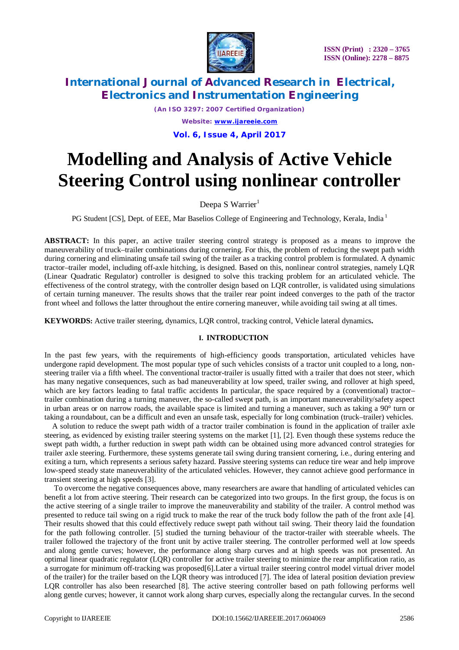

*(An ISO 3297: 2007 Certified Organization) Website: [www.ijareeie.com](http://www.ijareeie.com)* **Vol. 6, Issue 4, April 2017**

# **Modelling and Analysis of Active Vehicle Steering Control using nonlinear controller**

### Deepa S Warrier $1$

PG Student [CS], Dept. of EEE, Mar Baselios College of Engineering and Technology, Kerala, India<sup>1</sup>

**ABSTRACT:** In this paper, an active trailer steering control strategy is proposed as a means to improve the maneuverability of truck–trailer combinations during cornering. For this, the problem of reducing the swept path width during cornering and eliminating unsafe tail swing of the trailer as a tracking control problem is formulated. A dynamic tractor–trailer model, including off-axle hitching, is designed. Based on this, nonlinear control strategies, namely LQR (Linear Quadratic Regulator) controller is designed to solve this tracking problem for an articulated vehicle. The effectiveness of the control strategy, with the controller design based on LQR controller, is validated using simulations of certain turning maneuver. The results shows that the trailer rear point indeed converges to the path of the tractor front wheel and follows the latter throughout the entire cornering maneuver, while avoiding tail swing at all times.

**KEYWORDS:** Active trailer steering, dynamics, LQR control, tracking control, Vehicle lateral dynamics**.**

### **I. INTRODUCTION**

In the past few years, with the requirements of high-efficiency goods transportation, articulated vehicles have undergone rapid development. The most popular type of such vehicles consists of a tractor unit coupled to a long, nonsteering trailer via a fifth wheel. The conventional tractor-trailer is usually fitted with a trailer that does not steer, which has many negative consequences, such as bad maneuverability at low speed, trailer swing, and rollover at high speed, which are key factors leading to fatal traffic accidents In particular, the space required by a (conventional) tractor– trailer combination during a turning maneuver, the so-called swept path, is an important maneuverability/safety aspect in urban areas or on narrow roads, the available space is limited and turning a maneuver, such as taking a 90° turn or taking a roundabout, can be a difficult and even an unsafe task, especially for long combination (truck–trailer) vehicles.

A solution to reduce the swept path width of a tractor trailer combination is found in the application of trailer axle steering, as evidenced by existing trailer steering systems on the market [1], [2]. Even though these systems reduce the swept path width, a further reduction in swept path width can be obtained using more advanced control strategies for trailer axle steering. Furthermore, these systems generate tail swing during transient cornering, i.e., during entering and exiting a turn, which represents a serious safety hazard. Passive steering systems can reduce tire wear and help improve low-speed steady state maneuverability of the articulated vehicles. However, they cannot achieve good performance in transient steering at high speeds [3].

To overcome the negative consequences above, many researchers are aware that handling of articulated vehicles can benefit a lot from active steering. Their research can be categorized into two groups. In the first group, the focus is on the active steering of a single trailer to improve the maneuverability and stability of the trailer. A control method was presented to reduce tail swing on a rigid truck to make the rear of the truck body follow the path of the front axle [4]. Their results showed that this could effectively reduce swept path without tail swing. Their theory laid the foundation for the path following controller. [5] studied the turning behaviour of the tractor-trailer with steerable wheels. The trailer followed the trajectory of the front unit by active trailer steering. The controller performed well at low speeds and along gentle curves; however, the performance along sharp curves and at high speeds was not presented. An optimal linear quadratic regulator (LQR) controller for active trailer steering to minimize the rear amplification ratio, as a surrogate for minimum off-tracking was proposed[6].Later a virtual trailer steering control model virtual driver model of the trailer) for the trailer based on the LQR theory was introduced [7]. The idea of lateral position deviation preview LQR controller has also been researched [8]. The active steering controller based on path following performs well along gentle curves; however, it cannot work along sharp curves, especially along the rectangular curves. In the second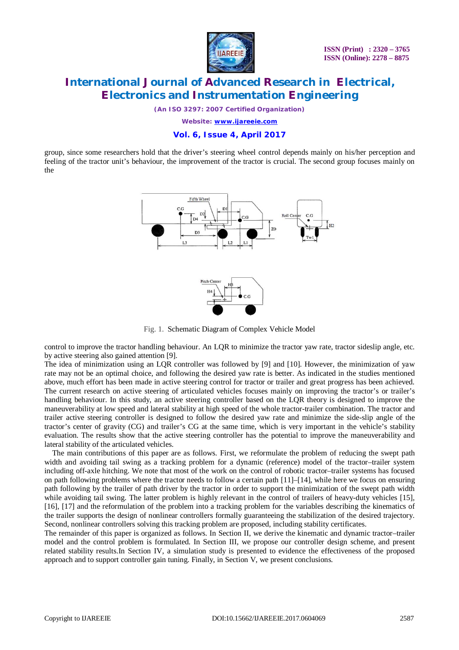

*(An ISO 3297: 2007 Certified Organization)*

*Website: [www.ijareeie.com](http://www.ijareeie.com)*

#### **Vol. 6, Issue 4, April 2017**

group, since some researchers hold that the driver's steering wheel control depends mainly on his/her perception and feeling of the tractor unit's behaviour, the improvement of the tractor is crucial. The second group focuses mainly on the



Fig. 1. Schematic Diagram of Complex Vehicle Model

control to improve the tractor handling behaviour. An LQR to minimize the tractor yaw rate, tractor sideslip angle, etc. by active steering also gained attention [9].

The idea of minimization using an LQR controller was followed by [9] and [10]. However, the minimization of yaw rate may not be an optimal choice, and following the desired yaw rate is better. As indicated in the studies mentioned above, much effort has been made in active steering control for tractor or trailer and great progress has been achieved. The current research on active steering of articulated vehicles focuses mainly on improving the tractor's or trailer's handling behaviour. In this study, an active steering controller based on the LQR theory is designed to improve the maneuverability at low speed and lateral stability at high speed of the whole tractor-trailer combination. The tractor and trailer active steering controller is designed to follow the desired yaw rate and minimize the side-slip angle of the tractor's center of gravity (CG) and trailer's CG at the same time, which is very important in the vehicle's stability evaluation. The results show that the active steering controller has the potential to improve the maneuverability and lateral stability of the articulated vehicles.

The main contributions of this paper are as follows. First, we reformulate the problem of reducing the swept path width and avoiding tail swing as a tracking problem for a dynamic (reference) model of the tractor–trailer system including off-axle hitching. We note that most of the work on the control of robotic tractor–trailer systems has focused on path following problems where the tractor needs to follow a certain path [11]–[14], while here we focus on ensuring path following by the trailer of path driver by the tractor in order to support the minimization of the swept path width while avoiding tail swing. The latter problem is highly relevant in the control of trailers of heavy-duty vehicles [15], [16], [17] and the reformulation of the problem into a tracking problem for the variables describing the kinematics of the trailer supports the design of nonlinear controllers formally guaranteeing the stabilization of the desired trajectory. Second, nonlinear controllers solving this tracking problem are proposed, including stability certificates.

The remainder of this paper is organized as follows. In Section II, we derive the kinematic and dynamic tractor–trailer model and the control problem is formulated. In Section III, we propose our controller design scheme, and present related stability results.In Section IV, a simulation study is presented to evidence the effectiveness of the proposed approach and to support controller gain tuning. Finally, in Section V, we present conclusions.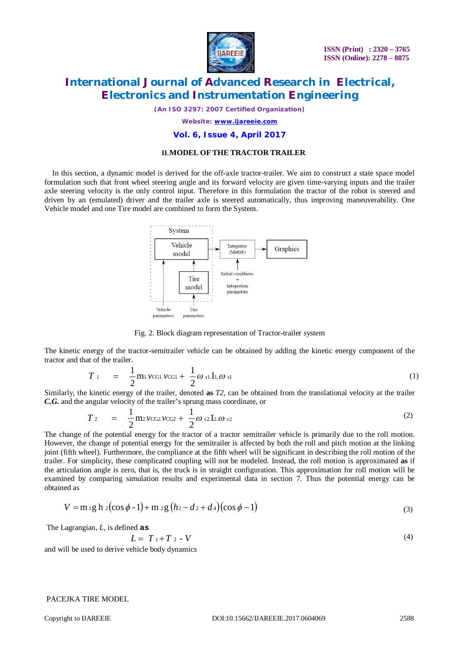

*(An ISO 3297: 2007 Certified Organization)*

*Website: [www.ijareeie.com](http://www.ijareeie.com)*

#### **Vol. 6, Issue 4, April 2017**

#### **II.MODEL OF THE TRACTOR TRAILER**

In this section, a dynamic model is derived for the off-axle tractor-trailer. We aim to construct a state space model formulation such that front wheel steering angle and its forward velocity are given time-varying inputs and the trailer axle steering velocity is the only control input. Therefore in this formulation the tractor of the robot is steered and driven by an (emulated) driver and the trailer axle is steered automatically, thus improving maneuverability. One Vehicle model and one Tire model are combined to form the System.



Fig. 2. Block diagram representation of Tractor-trailer system

The kinetic energy of the tractor-semitrailer vehicle can be obtained by adding the kinetic energy component of the tractor and that of the trailer.

$$
T_{\perp} = \frac{1}{2} \text{m}_{\perp} \text{VCGLVCG1} + \frac{1}{2} \omega_{s1} \text{I}_{\perp} \omega_{s1} \tag{1}
$$

Similarly, the kinetic energy of the trailer, denoted **as** *T2,* can be obtained from the translational velocity at the trailer *C.G.* and the angular velocity of the trailer's sprung mass coordinate, or

$$
T_2 = \frac{1}{2} \text{m2.VCG2.VCG2} + \frac{1}{2} \omega_{s2} \text{I2} \omega_{s2} \tag{2}
$$

The change of the potential energy for the tractor of a tractor semitrailer vehicle is primarily due to the roll motion. However, the change of potential energy for the semitrailer is affected by both the roll and pitch motion at the linking joint (fifth wheel). Furthermore, the compliance at the fifth wheel will be significant in describing the roll motion of the trailer. For simplicity, these complicated coupling will not be modeled. Instead, the roll motion is approximated **as** if the articulation angle is zero, that is, the truck is in straight configuration. This approximation for roll motion will be examined by comparing simulation results and experimental data in section 7. Thus the potential energy can be obtained as

$$
V = m_1 g h_2 (\cos \phi - 1) + m_2 g (h_2 - d_2 + d_4) (\cos \phi - 1)
$$
\n(3)

The Lagrangian, *L,* is defined **as**

$$
T_1 + T_2 - V \tag{4}
$$

and will be used to derive vehicle body dynamics

 $L =$ 

#### PACEJKA TIRE MODEL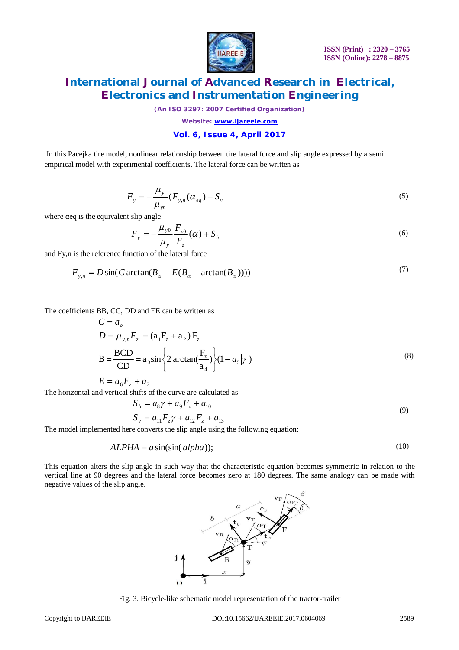

*(An ISO 3297: 2007 Certified Organization)*

*Website: [www.ijareeie.com](http://www.ijareeie.com)*

### **Vol. 6, Issue 4, April 2017**

In this Pacejka tire model, nonlinear relationship between tire lateral force and slip angle expressed by a semi empirical model with experimental coefficients. The lateral force can be written as

$$
F_{y} = -\frac{\mu_{y}}{\mu_{yn}} (F_{y,n}(\alpha_{eq}) + S_{y}
$$
\n(5)

where  $\alpha$ eq is the equivalent slip angle

$$
F_{y} = -\frac{\mu_{y0}}{\mu_{y}} \frac{F_{z0}}{F_{z}} (\alpha) + S_{h}
$$
 (6)

and Fy,n is the reference function of the lateral force

$$
F_{y,n} = D\sin(C\arctan(B_{\alpha} - E(B_{\alpha} - \arctan(B_{\alpha})))) \tag{7}
$$

The coefficients BB, CC, DD and EE can be written as

$$
C = a_o
$$
  
\n
$$
D = \mu_{y,n} F_z = (a_1 F_z + a_2) F_z
$$
  
\n
$$
B = \frac{BCD}{CD} = a_3 \sin \left\{ 2 \arctan(\frac{F_z}{a_4}) \right\} (1 - a_5 |\gamma|)
$$
 (8)

$$
E = a_6 F_z + a_7
$$

The horizontal and vertical shifts of the curve are calculated as

$$
S_h = a_8 \gamma + a_9 F_z + a_{10}
$$
  
\n
$$
S_v = a_{11} F_z \gamma + a_{12} F_z + a_{13}
$$
\n(9)

The model implemented here converts the slip angle using the following equation:

$$
ALPHA = a \sin(\sin(\alpha lpha));
$$
\n(10)

This equation alters the slip angle in such way that the characteristic equation becomes symmetric in relation to the vertical line at 90 degrees and the lateral force becomes zero at 180 degrees. The same analogy can be made with negative values of the slip angle.



Fig. 3. Bicycle-like schematic model representation of the tractor-trailer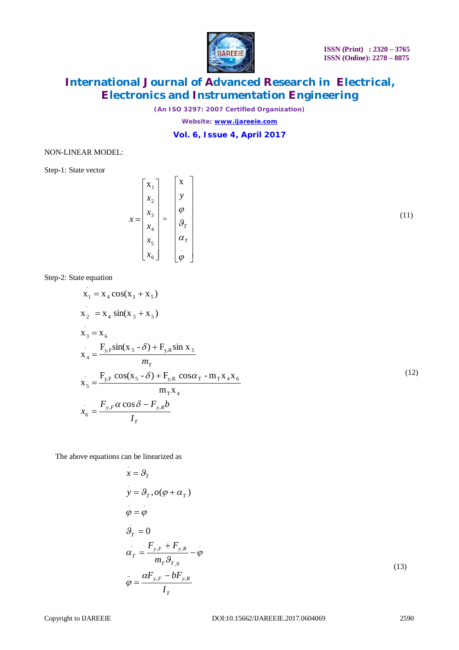

(11)

# **International Journal of Advanced Research in Electrical, Electronics and Instrumentation Engineering**

*(An ISO 3297: 2007 Certified Organization)*

*Website: [www.ijareeie.com](http://www.ijareeie.com)*

### **Vol. 6, Issue 4, April 2017**

#### NON-LINEAR MODEL:

Step-1: State vector

$$
x = \begin{bmatrix} x_1 \\ x_2 \\ x_3 \\ x_4 \\ x_5 \\ x_6 \end{bmatrix} = \begin{bmatrix} x \\ y \\ \varphi \\ \varphi \\ \varphi \\ \varphi \end{bmatrix}
$$

Step-2: State equation

$$
x_1 = x_4 \cos(x_3 + x_5)
$$
  
\n
$$
x_2 = x_4 \sin(x_3 + x_5)
$$
  
\n
$$
x_3 = x_6
$$
  
\n
$$
x_4 = \frac{F_{y,F} \sin(x_5 - \delta) + F_{y,R} \sin x_5}{m_T}
$$
  
\n
$$
x_5 = \frac{F_{y,F} \cos(x_5 - \delta) + F_{y,R} \cos \alpha_T - m_T x_4 x_6}{m_T x_4}
$$
  
\n
$$
x_6 = \frac{F_{y,F} \alpha \cos \delta - F_{y,R} b}{I_T}
$$
\n(12)

The above equations can be linearized as

$$
x = \mathcal{G}_r
$$
  
\n
$$
y = \mathcal{G}_r, o(\varphi + \alpha_r)
$$
  
\n
$$
\varphi = \varphi
$$
  
\n
$$
\mathcal{G}_r = 0
$$
  
\n
$$
\alpha_r = \frac{F_{y,r} + F_{y,R}}{m_r \mathcal{G}_{r,0}} - \varphi
$$
  
\n
$$
\varphi = \frac{\alpha F_{y,r} - bF_{y,R}}{I_r}
$$
\n(13)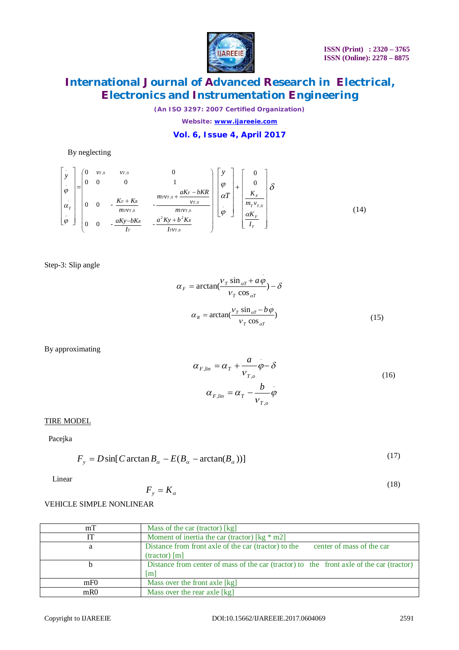

*(An ISO 3297: 2007 Certified Organization)*

*Website: [www.ijareeie.com](http://www.ijareeie.com)*

### **Vol. 6, Issue 4, April 2017**

### By neglecting

 .. . *T y* = ,0 2 2 ,0 ,0 ,0 ,0 ,0 ,0 0 0 - - 0 0 - - 0 0 0 1 0 0 *T T R T R T T T F T T T T F R T T I v a Ky b K I aKy bK m v v aK bKR m v m v K K v v* . *T y* + *T F T T F I K m v K* ,0 0 0 (14)

Step-3: Slip angle

$$
\alpha_{F} = \arctan(\frac{v_{T} \sin_{\alpha T} + a\varphi}{v_{T} \cos_{\alpha T}}) - \delta
$$

$$
\alpha_{R} = \arctan(\frac{v_{T} \sin_{\alpha T} - b\varphi}{v_{T} \cos_{\alpha T}})
$$
(15)

By approximating

$$
\alpha_{F,lin} = \alpha_T + \frac{a}{v_{T,o}} \dot{\phi} - \delta
$$
\n
$$
\alpha_{F,lin} = \alpha_T - \frac{b}{v_{T,o}} \dot{\phi}
$$
\n(16)

### TIRE MODEL

Pacejka

$$
F_y = D\sin[C \arctan B_{\alpha} - E(B_{\alpha} - \arctan(B_{\alpha}))]
$$
\n(17)

Linear

$$
F_y = K_\alpha \tag{18}
$$

### VEHICLE SIMPLE NONLINEAR

| mT              | Mass of the car (tractor) [kg]                                                           |
|-----------------|------------------------------------------------------------------------------------------|
|                 | Moment of inertia the car (tractor) [ $kg * m2$ ]                                        |
| a               | Distance from front axle of the car (tractor) to the<br>center of mass of the car        |
|                 | $(textor)$ [m]                                                                           |
|                 | Distance from center of mass of the car (tractor) to the front axle of the car (tractor) |
|                 | $\mathop{\rm Im}\nolimits$                                                               |
| mF <sub>0</sub> | Mass over the front axle [kg]                                                            |
| m <sub>R0</sub> | Mass over the rear axle [kg]                                                             |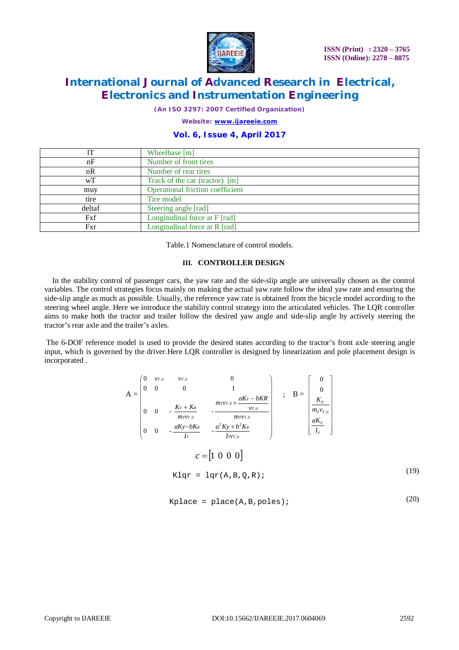

*(An ISO 3297: 2007 Certified Organization)*

*Website: [www.ijareeie.com](http://www.ijareeie.com)*

### **Vol. 6, Issue 4, April 2017**

|        | Wheelbase [m]                    |
|--------|----------------------------------|
| nF     | Number of front tires            |
| nR     | Number of rear tires             |
| wT     | Track of the car (tractor) [m]   |
| muy    | Operational friction coefficient |
| tire   | Tire model                       |
| deltaf | Steering angle [rad]             |
| Fxf    | Longitudinal force at F [rad]    |
| Fxr    | Longitudinal force at R [rad]    |

Table.1 Nomenclature of control models.

#### **III. CONTROLLER DESIGN**

In the stability control of passenger cars, the yaw rate and the side-slip angle are universally chosen as the control variables. The control strategies focus mainly on making the actual yaw rate follow the ideal yaw rate and ensuring the side-slip angle as much as possible. Usually, the reference yaw rate is obtained from the bicycle model according to the steering wheel angle. Here we introduce the stability control strategy into the articulated vehicles. The LQR controller aims to make both the tractor and trailer follow the desired yaw angle and side-slip angle by actively steering the tractor's rear axle and the trailer's axles.

The 6-DOF reference model is used to provide the desired states according to the tractor's front axle steering angle input, which is governed by the driver.Here LQR controller is designed by linearization and pole placement design is incorporated .

$$
A = \begin{bmatrix} 0 & v_{T,0} & v_{T,0} & 0 \\ 0 & 0 & 0 & 1 \\ 0 & 0 & -\frac{K_F + K_R}{mrv_{T,0}} & -\frac{mrv_{T,0} + aK_F - bKR}{v_{T,0}} \\ 0 & 0 & -\frac{aKy - bK_R}{Ir} & -\frac{a^2Ky + b^2K_R}{Irv_{T,0}} \end{bmatrix} ; B = \begin{bmatrix} 0 \\ 0 \\ \frac{K_F}{m_r v_{T,0}} \\ \frac{aK_F}{I_T} \end{bmatrix}
$$
  

$$
c = \begin{bmatrix} 1 & 0 & 0 & 0 \end{bmatrix}
$$
  
Klqr = lqr(A, B, Q, R) ; (19)

$$
Kplace = place(A, B, poles); \qquad (20)
$$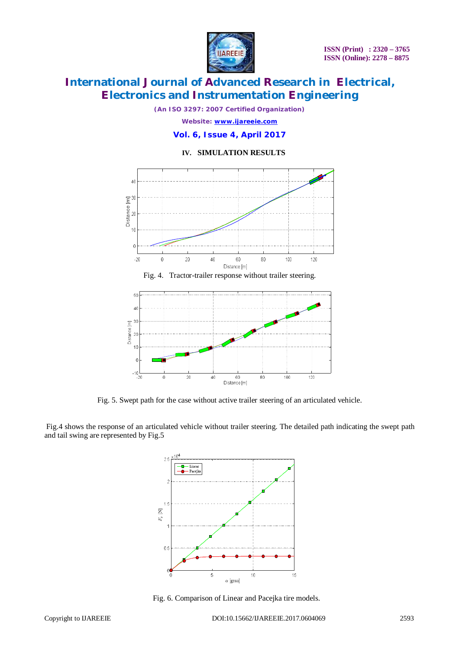

*(An ISO 3297: 2007 Certified Organization) Website: [www.ijareeie.com](http://www.ijareeie.com)*

**Vol. 6, Issue 4, April 2017**

#### **IV. SIMULATION RESULTS**



Fig. 4. Tractor-trailer response without trailer steering.



Fig. 5. Swept path for the case without active trailer steering of an articulated vehicle.

Fig.4 shows the response of an articulated vehicle without trailer steering. The detailed path indicating the swept path and tail swing are represented by Fig.5



Fig. 6. Comparison of Linear and Pacejka tire models.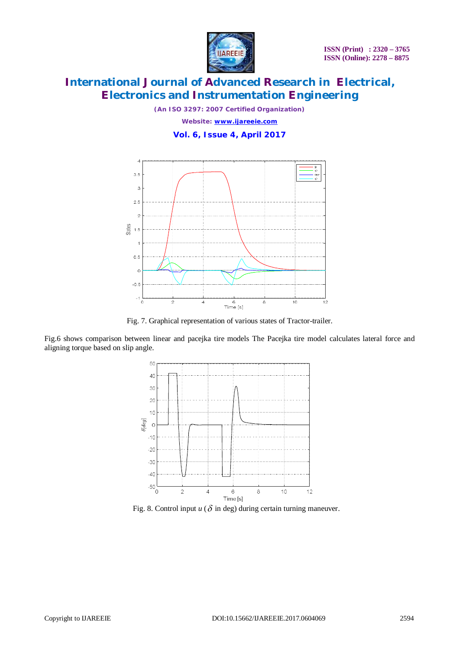

*(An ISO 3297: 2007 Certified Organization) Website: [www.ijareeie.com](http://www.ijareeie.com)* **Vol. 6, Issue 4, April 2017**



Fig. 7. Graphical representation of various states of Tractor-trailer.

Fig.6 shows comparison between linear and pacejka tire models The Pacejka tire model calculates lateral force and aligning torque based on slip angle.



Fig. 8. Control input  $u$  ( $\delta$  in deg) during certain turning maneuver.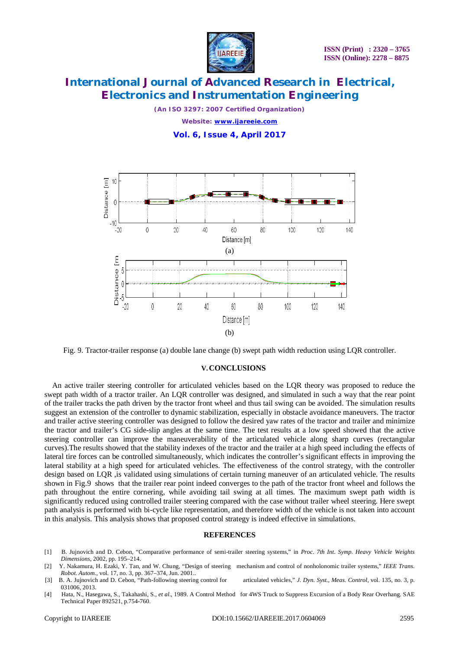

*(An ISO 3297: 2007 Certified Organization) Website: [www.ijareeie.com](http://www.ijareeie.com)* **Vol. 6, Issue 4, April 2017**



Fig. 9. Tractor-trailer response (a) double lane change (b) swept path width reduction using LQR controller.

#### **V.CONCLUSIONS**

An active trailer steering controller for articulated vehicles based on the LQR theory was proposed to reduce the swept path width of a tractor trailer. An LQR controller was designed, and simulated in such a way that the rear point of the trailer tracks the path driven by the tractor front wheel and thus tail swing can be avoided. The simulation results suggest an extension of the controller to dynamic stabilization, especially in obstacle avoidance maneuvers. The tractor and trailer active steering controller was designed to follow the desired yaw rates of the tractor and trailer and minimize the tractor and trailer's CG side-slip angles at the same time. The test results at a low speed showed that the active steering controller can improve the maneuverability of the articulated vehicle along sharp curves (rectangular curves).The results showed that the stability indexes of the tractor and the trailer at a high speed including the effects of lateral tire forces can be controlled simultaneously, which indicates the controller's significant effects in improving the lateral stability at a high speed for articulated vehicles. The effectiveness of the control strategy, with the controller design based on LQR ,is validated using simulations of certain turning maneuver of an articulated vehicle. The results shown in Fig.9 shows that the trailer rear point indeed converges to the path of the tractor front wheel and follows the path throughout the entire cornering, while avoiding tail swing at all times. The maximum swept path width is significantly reduced using controlled trailer steering compared with the case without trailer wheel steering. Here swept path analysis is performed with bi-cycle like representation, and therefore width of the vehicle is not taken into account in this analysis. This analysis shows that proposed control strategy is indeed effective in simulations.

#### **REFERENCES**

- [1] B. Jujnovich and D. Cebon, "Comparative performance of semi-trailer steering systems," in *Proc. 7th Int. Symp. Heavy Vehicle Weights Dimensions*, 2002, pp. 195–214.
- [2] Y. Nakamura, H. Ezaki, Y. Tan, and W. Chung, "Design of steering mechanism and control of nonholonomic trailer systems," *IEEE Trans. Robot. Autom.*, vol. 17, no. 3, pp. 367–374, Jun. 2001..<br>**B.** A. Juinovich and D. Cebon, "Path-following steering control for
- [3] B. A. Jujnovich and D. Cebon, "Path-following steering control for articulated vehicles," *J. Dyn. Syst., Meas. Control*, vol. 135, no. 3, p. 031006, 2013.
- [4] Hata, N., Hasegawa, S., Takahashi, S., *et al*., 1989. A Control Method for 4WS Truck to Suppress Excursion of a Body Rear Overhang. SAE Technical Paper 892521, p.754-760.